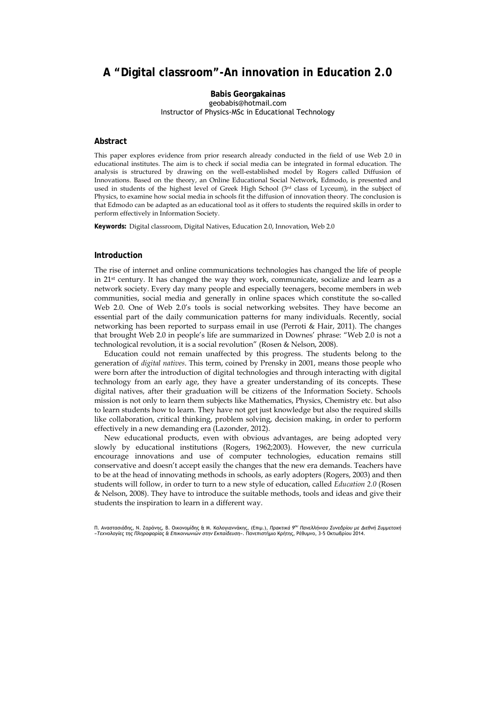# **A "Digital classroom"-An innovation in Education 2.0**

# **Babis Georgakainas**  geobabis@hotmail.com Instructor of Physics-MSc in Educational Technology

# **Abstract**

This paper explores evidence from prior research already conducted in the field of use Web 2.0 in educational institutes. The aim is to check if social media can be integrated in formal education. The analysis is structured by drawing on the well-established model by Rogers called Diffusion of Innovations. Based on the theory, an Online Educational Social Network, Edmodo, is presented and used in students of the highest level of Greek High School (3rd class of Lyceum), in the subject of Physics, to examine how social media in schools fit the diffusion of innovation theory. The conclusion is that Edmodo can be adapted as an educational tool as it offers to students the required skills in order to perform effectively in Information Society.

**Keywords:** Digital classroom, Digital Natives, Education 2.0, Innovation, Web 2.0

# **Introduction**

The rise of internet and online communications technologies has changed the life of people in 21st century. It has changed the way they work, communicate, socialize and learn as a network society. Every day many people and especially teenagers, become members in web communities, social media and generally in online spaces which constitute the so-called Web 2.0. One of Web 2.0's tools is social networking websites. They have become an essential part of the daily communication patterns for many individuals. Recently, social networking has been reported to surpass email in use (Perroti & Hair, 2011). The changes that brought Web 2.0 in people's life are summarized in Downes' phrase: "Web 2.0 is not a technological revolution, it is a social revolution" (Rosen & Nelson, 2008).

Education could not remain unaffected by this progress. The students belong to the generation of *digital natives*. This term, coined by Prensky in 2001, means those people who were born after the introduction of digital technologies and through interacting with digital technology from an early age, they have a greater understanding of its concepts. These digital natives, after their graduation will be citizens of the Information Society. Schools mission is not only to learn them subjects like Mathematics, Physics, Chemistry etc. but also to learn students how to learn. They have not get just knowledge but also the required skills like collaboration, critical thinking, problem solving, decision making, in order to perform effectively in a new demanding era (Lazonder, 2012).

New educational products, even with obvious advantages, are being adopted very slowly by educational institutions (Rogers, 1962;2003). However, the new curricula encourage innovations and use of computer technologies, education remains still conservative and doesn't accept easily the changes that the new era demands. Teachers have to be at the head of innovating methods in schools, as early adopters (Rogers, 2003) and then students will follow, in order to turn to a new style of education, called *Education 2.0* (Rosen & Nelson, 2008). They have to introduce the suitable methods, tools and ideas and give their students the inspiration to learn in a different way.

Π. Αναστασιάδης, Ν. Ζαράνης, Β. Οικονομίδης & Μ. Καλογιαννάκης, (Επιμ.), *Πρακτικά 9ου Πανελλήνιου Συνεδρίου με Διεθνή Συμμετοχή «Τεχνολογίες της Πληροφορίας & Επικοινωνιών στην Εκπαίδευση»*. Πανεπιστήμιο Κρήτης, Ρέθυμνο, 3-5 Οκτωβρίου 2014.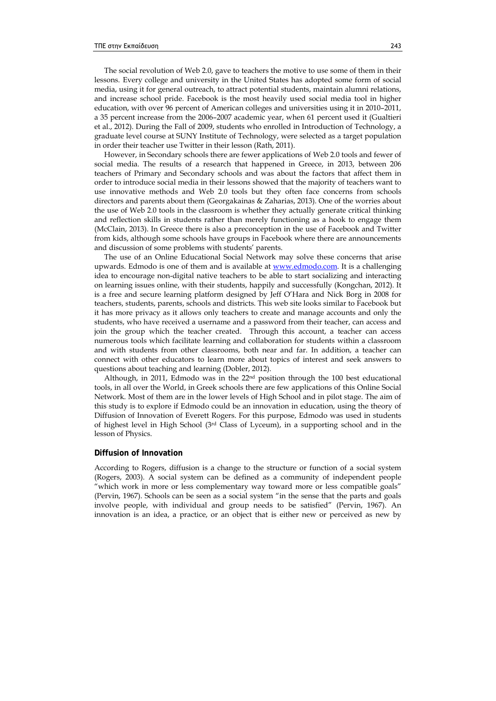The social revolution of Web 2.0, gave to teachers the motive to use some of them in their lessons. Every college and university in the United States has adopted some form of social media, using it for general outreach, to attract potential students, maintain alumni relations, and increase school pride. Facebook is the most heavily used social media tool in higher education, with over 96 percent of American colleges and universities using it in 2010–2011, a 35 percent increase from the 2006–2007 academic year, when 61 percent used it (Gualtieri et al., 2012). During the Fall of 2009, students who enrolled in Introduction of Technology, a graduate level course at SUNY Institute of Technology, were selected as a target population in order their teacher use Twitter in their lesson (Rath, 2011).

However, in Secondary schools there are fewer applications of Web 2.0 tools and fewer of social media. The results of a research that happened in Greece, in 2013, between 206 teachers of Primary and Secondary schools and was about the factors that affect them in order to introduce social media in their lessons showed that the majority of teachers want to use innovative methods and Web 2.0 tools but they often face concerns from schools directors and parents about them (Georgakainas & Zaharias, 2013). One of the worries about the use of Web 2.0 tools in the classroom is whether they actually generate critical thinking and reflection skills in students rather than merely functioning as a hook to engage them (McClain, 2013). In Greece there is also a preconception in the use of Facebook and Twitter from kids, although some schools have groups in Facebook where there are announcements and discussion of some problems with students' parents.

The use of an Online Educational Social Network may solve these concerns that arise upwards. Edmodo is one of them and is available at [www.edmodo.com.](http://www.edmodo.com/) It is a challenging idea to encourage non-digital native teachers to be able to start socializing and interacting on learning issues online, with their students, happily and successfully (Kongchan, 2012). It is a free and secure learning platform designed by Jeff O'Hara and Nick Borg in 2008 for teachers, students, parents, schools and districts. This web site looks similar to Facebook but it has more privacy as it allows only teachers to create and manage accounts and only the students, who have received a username and a password from their teacher, can access and join the group which the teacher created. Through this account, a teacher can access numerous tools which facilitate learning and collaboration for students within a classroom and with students from other classrooms, both near and far. In addition, a teacher can connect with other educators to learn more about topics of interest and seek answers to questions about teaching and learning (Dobler, 2012).

Although, in 2011, Edmodo was in the  $22<sup>nd</sup>$  position through the 100 best educational tools, in all over the World, in Greek schools there are few applications of this Online Social Network. Most of them are in the lower levels of High School and in pilot stage. The aim of this study is to explore if Edmodo could be an innovation in education, using the theory of Diffusion of Innovation of Everett Rogers. For this purpose, Edmodo was used in students of highest level in High School  $(3<sup>rd</sup>$  Class of Lyceum), in a supporting school and in the lesson of Physics.

#### **Diffusion of Innovation**

According to Rogers, diffusion is a change to the structure or function of a social system (Rogers, 2003). A social system can be defined as a community of independent people "which work in more or less complementary way toward more or less compatible goals" (Pervin, 1967). Schools can be seen as a social system "in the sense that the parts and goals involve people, with individual and group needs to be satisfied" (Pervin, 1967). An innovation is an idea, a practice, or an object that is either new or perceived as new by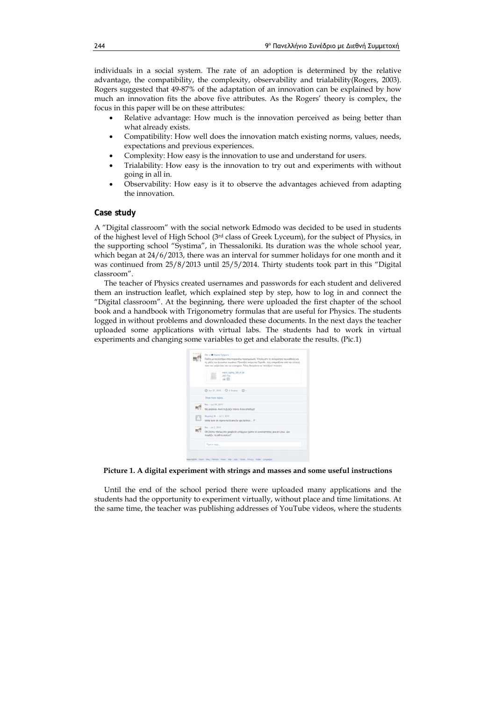individuals in a social system. The rate of an adoption is determined by the relative advantage, the compatibility, the complexity, observability and trialability(Rogers, 2003). Rogers suggested that 49-87% of the adaptation of an innovation can be explained by how much an innovation fits the above five attributes. As the Rogers' theory is complex, the focus in this paper will be on these attributes:

- Relative advantage: How much is the innovation perceived as being better than what already exists.
- Compatibility: How well does the innovation match existing norms, values, needs, expectations and previous experiences.
- Complexity: How easy is the innovation to use and understand for users.
- Trialability: How easy is the innovation to try out and experiments with without going in all in.
- Observability: How easy is it to observe the advantages achieved from adapting the innovation.

#### **Case study**

A "Digital classroom" with the social network Edmodo was decided to be used in students of the highest level of High School (3rd class of Greek Lyceum), for the subject of Physics, in the supporting school "Systima", in Thessaloniki. Its duration was the whole school year, which began at 24/6/2013, there was an interval for summer holidays for one month and it was continued from 25/8/2013 until 25/5/2014. Thirty students took part in this "Digital classroom".

The teacher of Physics created usernames and passwords for each student and delivered them an instruction leaflet, which explained step by step, how to log in and connect the "Digital classroom". At the beginning, there were uploaded the first chapter of the school book and a handbook with Trigonometry formulas that are useful for Physics. The students logged in without problems and downloaded these documents. In the next days the teacher uploaded some applications with virtual labs. The students had to work in virtual experiments and changing some variables to get and elaborate the results. (Pic.1)

| Me to @ Diged Tylyma<br>Παΐζη με τα ελανίρια στην παρακάτω προσομούμση. Υπελεγίστε τη σκληρέπησε του καθένές και<br>τις μάζες των άγνωστων σωμάτων. Προσέξτε ανάμα την Περίοδο, πώς στημαάζεται από την αλλαγή<br>tózo tur yočáv tos ezi tur statigiluv Tátoc Boxuárts va "atitáčen" tilavýny |  |  |  |
|-----------------------------------------------------------------------------------------------------------------------------------------------------------------------------------------------------------------------------------------------------------------------------------------------|--|--|--|
| mass spring lab el jar<br>SAILTEN<br>前回:                                                                                                                                                                                                                                                      |  |  |  |
| ◎ Jin 27, 四日 · ○ 4 Rights - □ -                                                                                                                                                                                                                                                               |  |  |  |
| Show more replace ::                                                                                                                                                                                                                                                                          |  |  |  |
| Ma + Jun 32, 2013<br>My editors. Aunt to Builds mixes. Kins amaliasti                                                                                                                                                                                                                         |  |  |  |
| Michael M. - $3d$ 2, 2013.<br>telika kurie do mpone na to anoi hy apo ta linux P                                                                                                                                                                                                              |  |  |  |
| Mu <. Ad 2, 3013<br>OK Bizmu mbituc ero google on undpyour tpoma va sykanaznijesic jara et Limax. Zare<br>Traddis, to pd to major?                                                                                                                                                            |  |  |  |
| Type a reply.                                                                                                                                                                                                                                                                                 |  |  |  |

**Picture 1. A digital experiment with strings and masses and some useful instructions** 

Until the end of the school period there were uploaded many applications and the students had the opportunity to experiment virtually, without place and time limitations. At the same time, the teacher was publishing addresses of YouTube videos, where the students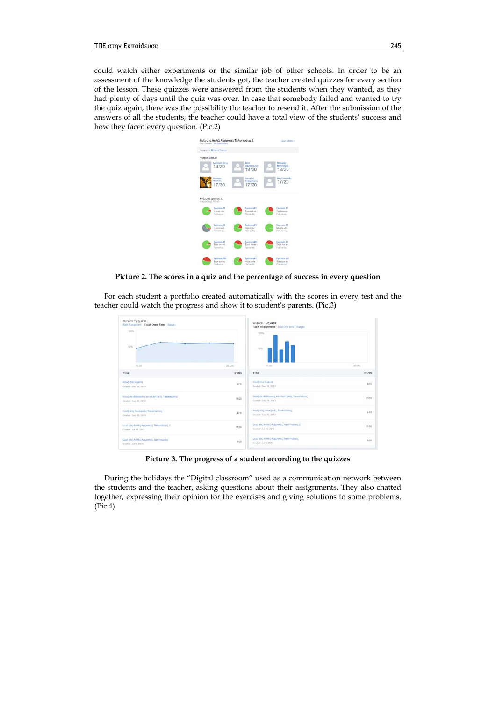could watch either experiments or the similar job of other schools. In order to be an assessment of the knowledge the students got, the teacher created quizzes for every section of the lesson. These quizzes were answered from the students when they wanted, as they had plenty of days until the quiz was over. In case that somebody failed and wanted to try the quiz again, there was the possibility the teacher to resend it. After the submission of the answers of all the students, the teacher could have a total view of the students' success and how they faced every question. (Pic.2)



**Picture 2. The scores in a quiz and the percentage of success in every question** 

For each student a portfolio created automatically with the scores in every test and the teacher could watch the progress and show it to student's parents. (Pic.3)

| Θερινά Τμήματα<br><b>SECTION</b> CONTINUES.<br>Each Assignment Total Over Time Balges<br>SIGN.<br>60% |                      | Θερινά Τμήματα<br>Each Assignment Total Over Time Badges<br>100%<br>solu. |          |
|-------------------------------------------------------------------------------------------------------|----------------------|---------------------------------------------------------------------------|----------|
| 15.34                                                                                                 | 24.0a                | 10.34                                                                     | $24$ Day |
| Total                                                                                                 | 51/85                | Total                                                                     | Stras.   |
| Kouič one Köserie<br>Oraded: Day, 18, 2013.                                                           | B/15                 | Közül, one Küserini<br>Grated: Dec 18, 2013                               | arts:    |
| Κοιαζ σε Φθλουάες και Ηλεκτρικές Ταλαντώσεις<br>Goded, Sep 29, 2013                                   | $1 + 1$<br>13/20     | Κουζ σε Φθλουσες και Ηλεκτρικές Ταλαντώσεις<br>Giabet Sep 29, 2013        | 13/20    |
| Hould one HAranpack; Talanmietric<br>Graded: Sep 26, 2013.                                            | 4/10                 | Kould and Hazapiech Takavnuotat<br>Graded: Sep 26; 2013)                  | 4/107    |
| Quiz etic ANAL: Abuseintc Tanavillator; 2<br>Graded: Jul 16, 2013                                     | <b>DOM:</b><br>17/20 | Quiz στις Απλές Αρμονικές Ταλαντώσεις 2<br>Graded: Jul 16, 2013           | 17/20    |
| Quiz (Ftc AmAlc Appenentic Tallerminities)<br>Gladed Jul 9, 2013                                      | 5/20                 | Quiz mic Amklic Appoints; Takinnistroc<br>Graded Jul 9, 2013              | 9/20     |

**Picture 3. The progress of a student according to the quizzes** 

During the holidays the "Digital classroom" used as a communication network between the students and the teacher, asking questions about their assignments. They also chatted together, expressing their opinion for the exercises and giving solutions to some problems. (Pic.4)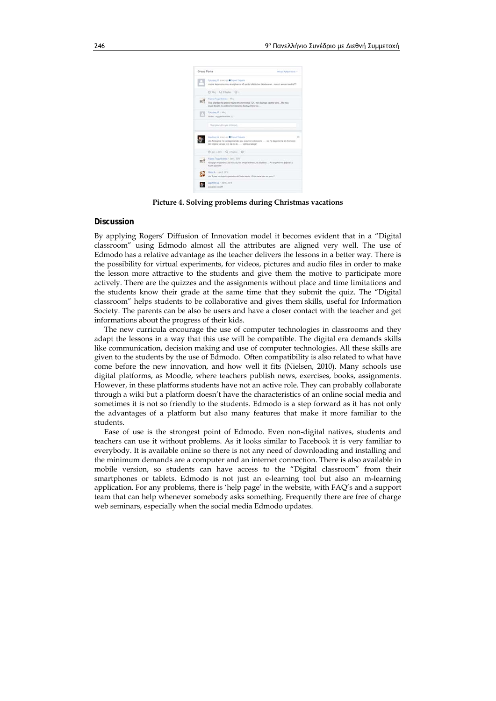| Group Posts | Allege Aphow vant -                                                                                                                                  |   |
|-------------|------------------------------------------------------------------------------------------------------------------------------------------------------|---|
|             | <b>Cytutany, 11- erox ( ox) @ Digital Tytyreix</b>                                                                                                   |   |
|             | mporel kapolos na muu ekshaharas ta A3 apo to Alfados bus talantu sevel. muna ti enmuel i eratra/??                                                  |   |
|             | <b>③ Hz</b> - Q 2 Hydes · Q -                                                                                                                        |   |
|             | Highed Trepulement's Hier,                                                                                                                           |   |
|             | This phontos the protine makes and aversions TOY, most finitiate kan the rathe. After this<br>must bolabi to eating the relets to destupring too     |   |
|             | <b>Tanylanctic Hinc</b>                                                                                                                              |   |
|             | taken, exposition to be 1                                                                                                                            |   |
|             | Glosequitarylene yea embroint.                                                                                                                       |   |
|             |                                                                                                                                                      |   |
|             | Joseph Avenue & Bank Talents                                                                                                                         | ö |
|             | ata fututuples me ta dagerriarrate più exische na liancume  ata fa dagerriarra ata thema 26<br>they region was hand to 2 km to 40.  upstress handed? |   |
|             | Gischmi Q Hajer . (D-                                                                                                                                |   |
|             | Algest Teapylininess / Jan & 2014                                                                                                                    |   |
|             | Fanzige manufine, any validity on amasi vitrosoy in Bodrigos  As or animism Billion!<br>KaA4 Appoint                                                 |   |
| 6.7         | New A - Jan 5, 2014                                                                                                                                  |   |
|             | ate 3 pare ton tupe tix periodics alla?le to: kartis 17 kai meta tuse we pros C.                                                                     |   |
|             | <b>Draftsmic A. - Jan 6, 2014</b>                                                                                                                    |   |
|             | <b>Black official</b>                                                                                                                                |   |

**Picture 4. Solving problems during Christmas vacations** 

# **Discussion**

By applying Rogers' Diffusion of Innovation model it becomes evident that in a "Digital classroom" using Edmodo almost all the attributes are aligned very well. The use of Edmodo has a relative advantage as the teacher delivers the lessons in a better way. There is the possibility for virtual experiments, for videos, pictures and audio files in order to make the lesson more attractive to the students and give them the motive to participate more actively. There are the quizzes and the assignments without place and time limitations and the students know their grade at the same time that they submit the quiz. The "Digital classroom" helps students to be collaborative and gives them skills, useful for Information Society. The parents can be also be users and have a closer contact with the teacher and get informations about the progress of their kids.

The new curricula encourage the use of computer technologies in classrooms and they adapt the lessons in a way that this use will be compatible. The digital era demands skills like communication, decision making and use of computer technologies. All these skills are given to the students by the use of Edmodo. Often compatibility is also related to what have come before the new innovation, and how well it fits (Nielsen, 2010). Many schools use digital platforms, as Moodle, where teachers publish news, exercises, books, assignments. However, in these platforms students have not an active role. They can probably collaborate through a wiki but a platform doesn't have the characteristics of an online social media and sometimes it is not so friendly to the students. Edmodo is a step forward as it has not only the advantages of a platform but also many features that make it more familiar to the students.

Ease of use is the strongest point of Edmodo. Even non-digital natives, students and teachers can use it without problems. As it looks similar to Facebook it is very familiar to everybody. It is available online so there is not any need of downloading and installing and the minimum demands are a computer and an internet connection. There is also available in mobile version, so students can have access to the "Digital classroom" from their smartphones or tablets. Edmodo is not just an e-learning tool but also an m-learning application. For any problems, there is 'help page' in the website, with FAQ's and a support team that can help whenever somebody asks something. Frequently there are free of charge web seminars, especially when the social media Edmodo updates.